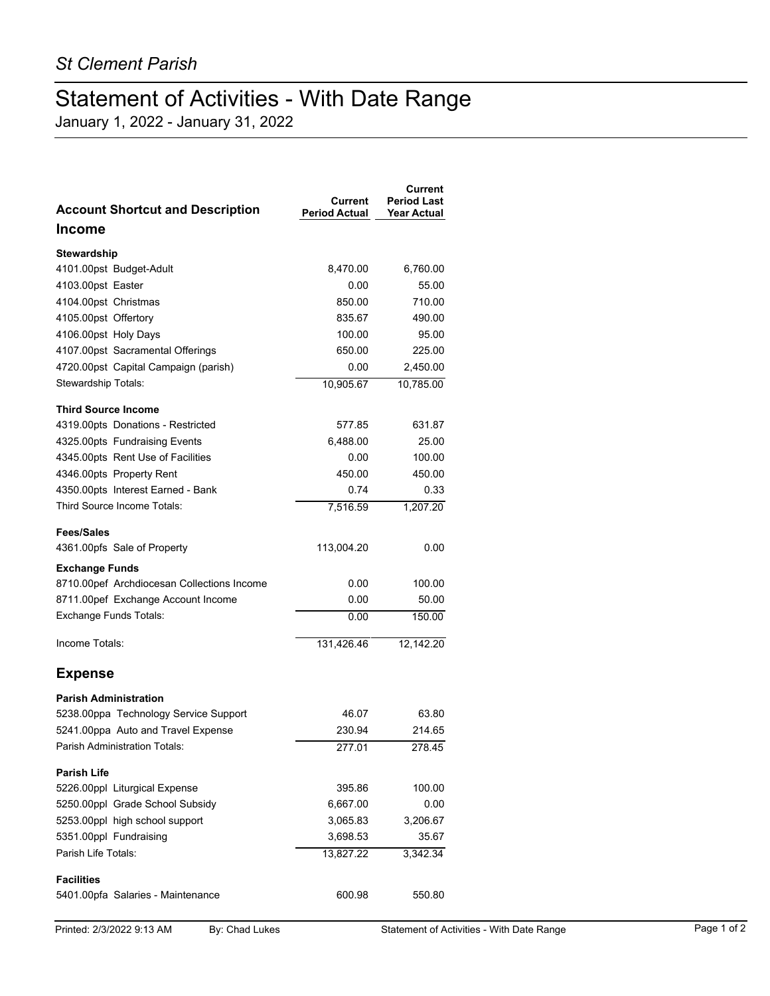## Statement of Activities - With Date Range

January 1, 2022 - January 31, 2022

| <b>Account Shortcut and Description</b>                      | Current<br><b>Period Actual</b> | <b>Current</b><br><b>Period Last</b><br><b>Year Actual</b> |
|--------------------------------------------------------------|---------------------------------|------------------------------------------------------------|
| <b>Income</b>                                                |                                 |                                                            |
| Stewardship                                                  |                                 |                                                            |
| 4101.00pst Budget-Adult                                      | 8,470.00                        | 6,760.00                                                   |
| 4103.00pst Easter                                            | 0.00                            | 55.00                                                      |
| 4104.00pst Christmas                                         | 850.00                          | 710.00                                                     |
| 4105.00pst Offertory                                         | 835.67                          | 490.00                                                     |
| 4106.00pst Holy Days                                         | 100.00                          | 95.00                                                      |
| 4107.00pst Sacramental Offerings                             | 650.00                          | 225.00                                                     |
| 4720.00pst Capital Campaign (parish)                         | 0.00                            | 2,450.00                                                   |
| Stewardship Totals:                                          | 10,905.67                       | 10,785.00                                                  |
| <b>Third Source Income</b>                                   |                                 |                                                            |
| 4319.00pts Donations - Restricted                            | 577.85                          | 631.87                                                     |
| 4325.00pts Fundraising Events                                | 6,488.00                        | 25.00                                                      |
| 4345.00pts Rent Use of Facilities                            | 0.00                            | 100.00                                                     |
| 4346.00pts Property Rent                                     | 450.00                          | 450.00                                                     |
| 4350.00pts Interest Earned - Bank                            | 0.74                            | 0.33                                                       |
| Third Source Income Totals:                                  | 7,516.59                        | 1,207.20                                                   |
|                                                              |                                 |                                                            |
| <b>Fees/Sales</b><br>4361.00pfs Sale of Property             | 113,004.20                      | 0.00                                                       |
|                                                              |                                 |                                                            |
| <b>Exchange Funds</b>                                        | 0.00                            | 100.00                                                     |
| 8710.00pef Archdiocesan Collections Income                   | 0.00                            |                                                            |
| 8711.00pef Exchange Account Income<br>Exchange Funds Totals: |                                 | 50.00                                                      |
|                                                              | 0.00                            | 150.00                                                     |
| Income Totals:                                               | 131,426.46                      | 12,142.20                                                  |
| <b>Expense</b>                                               |                                 |                                                            |
| <b>Parish Administration</b>                                 |                                 |                                                            |
| 5238.00ppa Technology Service Support                        | 46.07                           | 63.80                                                      |
| 5241.00ppa Auto and Travel Expense                           | 230.94                          | 214.65                                                     |
| Parish Administration Totals:                                | 277.01                          | 278.45                                                     |
| <b>Parish Life</b>                                           |                                 |                                                            |
| 5226.00ppl Liturgical Expense                                | 395.86                          | 100.00                                                     |
| 5250.00ppl Grade School Subsidy                              | 6,667.00                        | 0.00                                                       |
| 5253.00ppl high school support                               | 3,065.83                        | 3,206.67                                                   |
| 5351.00ppl Fundraising                                       | 3,698.53                        | 35.67                                                      |
| Parish Life Totals:                                          | 13,827.22                       | 3,342.34                                                   |
| <b>Facilities</b>                                            |                                 |                                                            |
| 5401.00pfa Salaries - Maintenance                            | 600.98                          | 550.80                                                     |